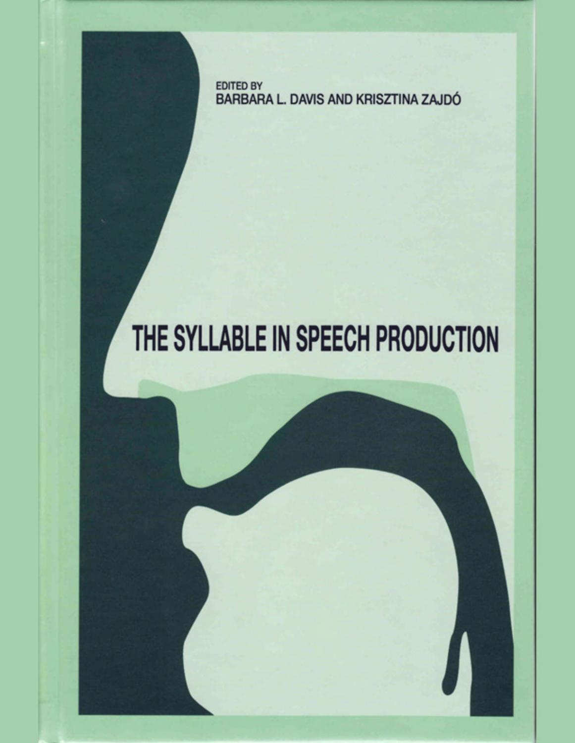EDITED BY BARBARA L. DAVIS AND KRISZTINA ZAJDÓ

# THE SYLLABLE IN SPEECH PRODUCTION

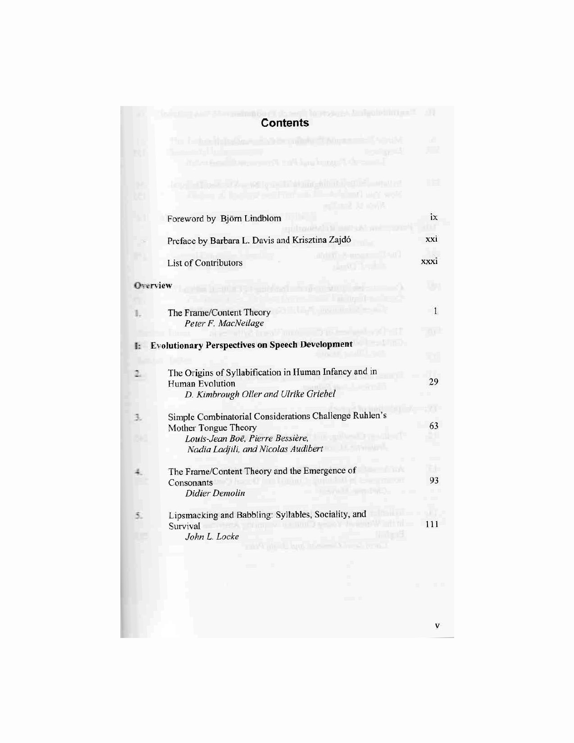| <b>INTERNATIONAL PROPERTY AND INCOME.</b>                                                                          |                                                                                                |
|--------------------------------------------------------------------------------------------------------------------|------------------------------------------------------------------------------------------------|
|                                                                                                                    |                                                                                                |
| WEWLETONE<br><b>A THE RUI IN</b>                                                                                   |                                                                                                |
| utw/l&<br>Foreword by Björn Lindblom                                                                               | ix                                                                                             |
| Preface by Barbara L. Davis and Krisztina Zajdó                                                                    | xxi                                                                                            |
| <b>List of Contributors</b>                                                                                        | xxxi                                                                                           |
| Overview                                                                                                           |                                                                                                |
| The Frame/Content Theory                                                                                           | 1                                                                                              |
|                                                                                                                    |                                                                                                |
|                                                                                                                    |                                                                                                |
| The Origins of Syllabification in Human Infancy and in<br>Human Evolution<br>D. Kimbrough Oller and Ulrike Griebel | 29                                                                                             |
| Simple Combinatorial Considerations Challenge Ruhlen's<br>Mother Tongue Theory<br>Louis-Jean Boë, Pierre Bessière, | 63                                                                                             |
| Nadia Ladjili, and Nicolas Audibert                                                                                |                                                                                                |
| The Frame/Content Theory and the Emergence of<br>Consonants<br>Didier Demolin                                      | 93                                                                                             |
| Lipsmacking and Babbling: Syllables, Sociality, and<br>Survival                                                    | 111                                                                                            |
|                                                                                                                    |                                                                                                |
|                                                                                                                    | Peter F. MacNeilage<br><b>Evolutionary Perspectives on Speech Development</b><br>John L. Locke |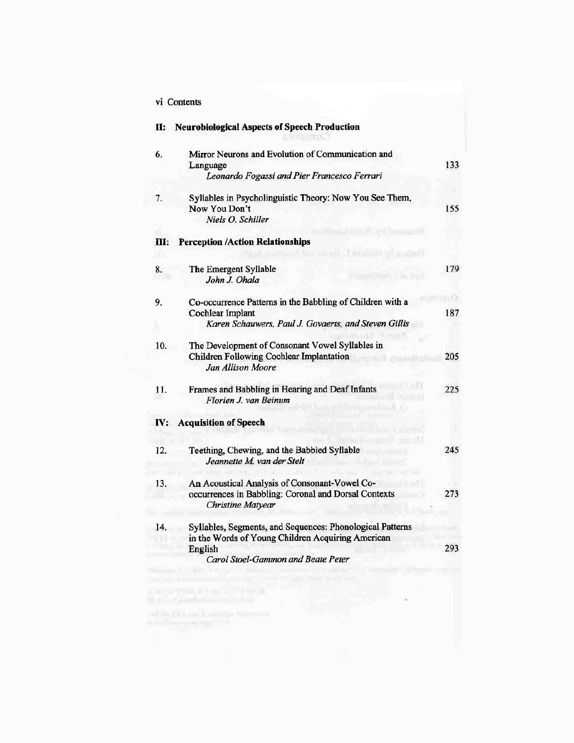| vi Contents |
|-------------|
|             |

| П:  | <b>Neurobiological Aspects of Speech Production</b>                                                                                                             |     |
|-----|-----------------------------------------------------------------------------------------------------------------------------------------------------------------|-----|
| 6.  | Mirror Neurons and Evolution of Communication and<br>Language<br>Leonardo Fogassi and Pier Francesco Ferrari                                                    | 133 |
| 7.  | Syllables in Psycholinguistic Theory: Now You See Them,<br>Now You Don't<br>Niels O. Schiller                                                                   | 155 |
| ш:  | <b>Perception /Action Relationships</b>                                                                                                                         |     |
| 8.  | The Emergent Syllable<br>John J. Ohala                                                                                                                          | 179 |
| 9.  | Co-occurrence Patterns in the Babbling of Children with a<br><b>Cochlear Implant</b><br>Karen Schauwers, Paul J. Govaerts, and Steven Gillis                    | 187 |
| 10. | The Development of Consonant Vowel Syllables in<br>Children Following Cochlear Implantation<br>Jan Allison Moore                                                | 205 |
| 11. | Frames and Babbling in Hearing and Deaf Infants<br>Florien J. van Beinum                                                                                        | 225 |
| IV: | <b>Acquisition of Speech</b>                                                                                                                                    |     |
| 12. | Teething, Chewing, and the Babbled Syllable<br>Jeannette M. van der Stelt                                                                                       | 245 |
| 13. | An Acoustical Analysis of Consonant-Vowel Co-<br>occurrences in Babbling: Coronal and Dorsal Contexts<br><b>Christine Matyear</b>                               | 273 |
| 14. | Syllables, Segments, and Sequences: Phonological Patterns<br>in the Words of Young Children Acquiring American<br>English<br>Carol Stoel-Gammon and Beate Peter | 293 |

ù.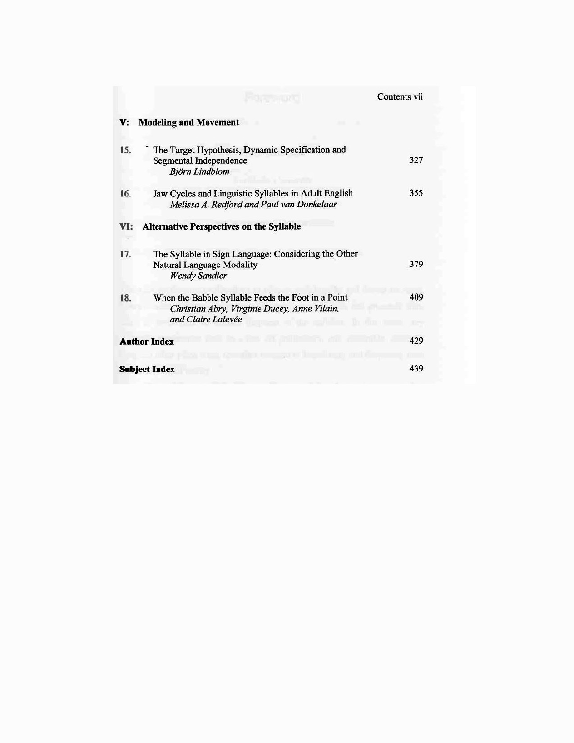|     |                                                                                                                          | Contents vii |
|-----|--------------------------------------------------------------------------------------------------------------------------|--------------|
| v:  | <b>Modeling and Movement</b>                                                                                             |              |
| 15. | The Target Hypothesis, Dynamic Specification and<br><b>Segmental Independence</b><br>Björn Lindblom                      | 327          |
| 16. | Jaw Cycles and Linguistic Syllables in Adult English<br>Melissa A. Redford and Paul van Donkelaar                        | 355          |
| VI: | <b>Alternative Perspectives on the Syllable</b>                                                                          |              |
| 17. | The Syllable in Sign Language: Considering the Other<br>Natural Language Modality<br><b>Wendy Sandler</b>                | 379          |
| 18. | When the Babble Syllable Feeds the Foot in a Point<br>Christian Abry, Virginie Ducey, Anne Vilain,<br>and Claire Lalevée | 409          |
|     | <b>Author Index</b>                                                                                                      | 429          |
|     | <b>Subject Index</b>                                                                                                     | 439          |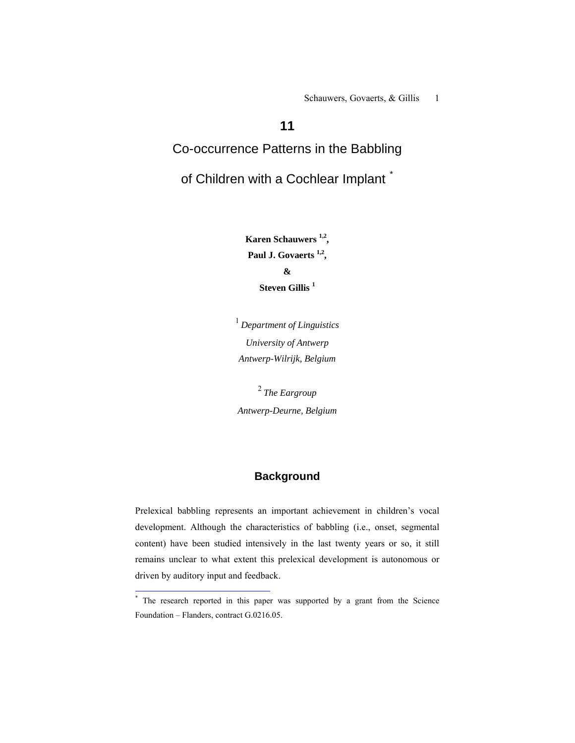Schauwers, Govaerts, & Gillis 1

# **11**

# Co-occurrence Patterns in the Babbling

# of Children with a Cochlear Implant<sup>[\\*](#page-4-0)</sup>

**Karen Schauwers 1,2,**  Paul J. Govaerts<sup>1,2</sup>, **& Steven Gillis <sup>1</sup>**

<sup>1</sup>*Department of Linguistics University of Antwerp Antwerp-Wilrijk, Belgium* 

<sup>2</sup>*The Eargroup Antwerp-Deurne, Belgium* 

# **Background**

Prelexical babbling represents an important achievement in children's vocal development. Although the characteristics of babbling (i.e., onset, segmental content) have been studied intensively in the last twenty years or so, it still remains unclear to what extent this prelexical development is autonomous or driven by auditory input and feedback.

<span id="page-4-0"></span><sup>&</sup>lt;sup>\*</sup> The research reported in this paper was supported by a grant from the Science Foundation – Flanders, contract G.0216.05.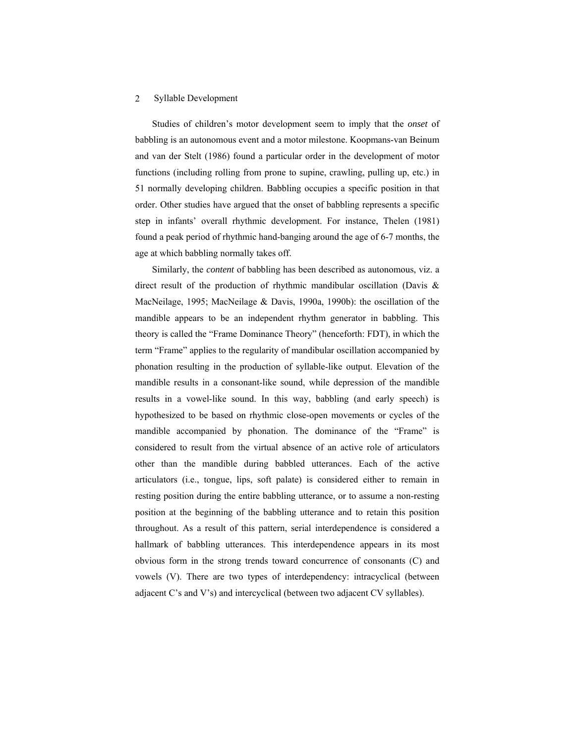Studies of children's motor development seem to imply that the *onset* of babbling is an autonomous event and a motor milestone. Koopmans-van Beinum and van der Stelt (1986) found a particular order in the development of motor functions (including rolling from prone to supine, crawling, pulling up, etc.) in 51 normally developing children. Babbling occupies a specific position in that order. Other studies have argued that the onset of babbling represents a specific step in infants' overall rhythmic development. For instance, Thelen (1981) found a peak period of rhythmic hand-banging around the age of 6-7 months, the age at which babbling normally takes off.

Similarly, the *content* of babbling has been described as autonomous, viz. a direct result of the production of rhythmic mandibular oscillation (Davis & MacNeilage, 1995; MacNeilage & Davis, 1990a, 1990b): the oscillation of the mandible appears to be an independent rhythm generator in babbling. This theory is called the "Frame Dominance Theory" (henceforth: FDT), in which the term "Frame" applies to the regularity of mandibular oscillation accompanied by phonation resulting in the production of syllable-like output. Elevation of the mandible results in a consonant-like sound, while depression of the mandible results in a vowel-like sound. In this way, babbling (and early speech) is hypothesized to be based on rhythmic close-open movements or cycles of the mandible accompanied by phonation. The dominance of the "Frame" is considered to result from the virtual absence of an active role of articulators other than the mandible during babbled utterances. Each of the active articulators (i.e., tongue, lips, soft palate) is considered either to remain in resting position during the entire babbling utterance, or to assume a non-resting position at the beginning of the babbling utterance and to retain this position throughout. As a result of this pattern, serial interdependence is considered a hallmark of babbling utterances. This interdependence appears in its most obvious form in the strong trends toward concurrence of consonants (C) and vowels (V). There are two types of interdependency: intracyclical (between adjacent C's and V's) and intercyclical (between two adjacent CV syllables).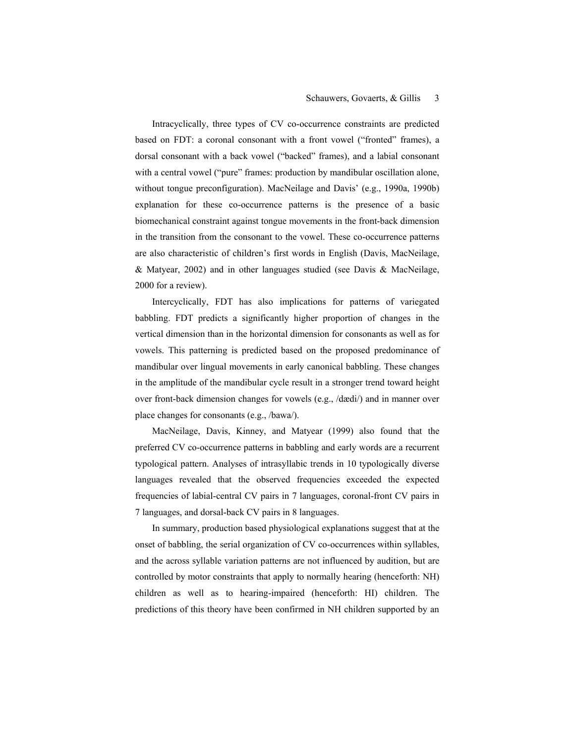Intracyclically, three types of CV co-occurrence constraints are predicted based on FDT: a coronal consonant with a front vowel ("fronted" frames), a dorsal consonant with a back vowel ("backed" frames), and a labial consonant with a central vowel ("pure" frames: production by mandibular oscillation alone, without tongue preconfiguration). MacNeilage and Davis' (e.g., 1990a, 1990b) explanation for these co-occurrence patterns is the presence of a basic biomechanical constraint against tongue movements in the front-back dimension in the transition from the consonant to the vowel. These co-occurrence patterns are also characteristic of children's first words in English (Davis, MacNeilage, & Matyear, 2002) and in other languages studied (see Davis & MacNeilage, 2000 for a review).

Intercyclically, FDT has also implications for patterns of variegated babbling. FDT predicts a significantly higher proportion of changes in the vertical dimension than in the horizontal dimension for consonants as well as for vowels. This patterning is predicted based on the proposed predominance of mandibular over lingual movements in early canonical babbling. These changes in the amplitude of the mandibular cycle result in a stronger trend toward height over front-back dimension changes for vowels (e.g., /dædi/) and in manner over place changes for consonants (e.g., /bawa/).

MacNeilage, Davis, Kinney, and Matyear (1999) also found that the preferred CV co-occurrence patterns in babbling and early words are a recurrent typological pattern. Analyses of intrasyllabic trends in 10 typologically diverse languages revealed that the observed frequencies exceeded the expected frequencies of labial-central CV pairs in 7 languages, coronal-front CV pairs in 7 languages, and dorsal-back CV pairs in 8 languages.

In summary, production based physiological explanations suggest that at the onset of babbling, the serial organization of CV co-occurrences within syllables, and the across syllable variation patterns are not influenced by audition, but are controlled by motor constraints that apply to normally hearing (henceforth: NH) children as well as to hearing-impaired (henceforth: HI) children. The predictions of this theory have been confirmed in NH children supported by an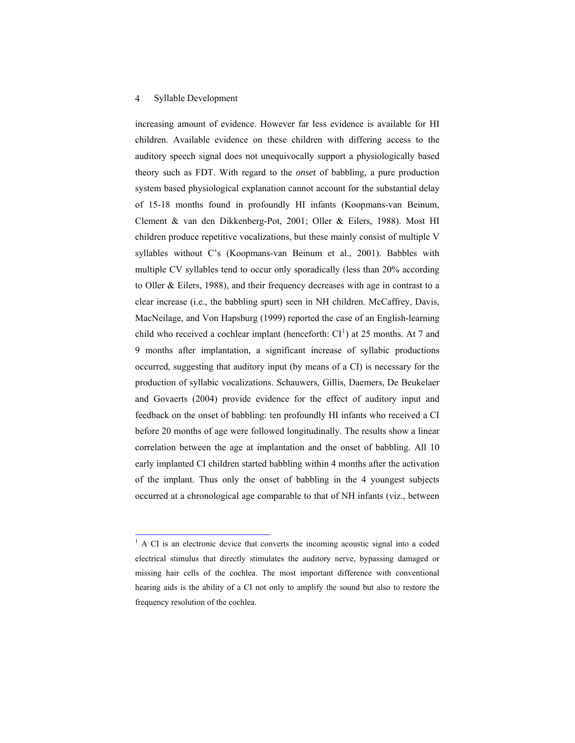1

increasing amount of evidence. However far less evidence is available for HI children. Available evidence on these children with differing access to the auditory speech signal does not unequivocally support a physiologically based theory such as FDT. With regard to the *onset* of babbling, a pure production system based physiological explanation cannot account for the substantial delay of 15-18 months found in profoundly HI infants (Koopmans-van Beinum, Clement & van den Dikkenberg-Pot, 2001; Oller & Eilers, 1988). Most HI children produce repetitive vocalizations, but these mainly consist of multiple V syllables without C's (Koopmans-van Beinum et al., 2001). Babbles with multiple CV syllables tend to occur only sporadically (less than 20% according to Oller & Eilers, 1988), and their frequency decreases with age in contrast to a clear increase (i.e., the babbling spurt) seen in NH children. McCaffrey, Davis, MacNeilage, and Von Hapsburg (1999) reported the case of an English-learning child who received a cochlear implant (henceforth:  $CI<sup>1</sup>$  $CI<sup>1</sup>$  $CI<sup>1</sup>$ ) at 25 months. At 7 and 9 months after implantation, a significant increase of syllabic productions occurred, suggesting that auditory input (by means of a CI) is necessary for the production of syllabic vocalizations. Schauwers, Gillis, Daemers, De Beukelaer and Govaerts (2004) provide evidence for the effect of auditory input and feedback on the onset of babbling: ten profoundly HI infants who received a CI before 20 months of age were followed longitudinally. The results show a linear correlation between the age at implantation and the onset of babbling. All 10 early implanted CI children started babbling within 4 months after the activation of the implant. Thus only the onset of babbling in the 4 youngest subjects occurred at a chronological age comparable to that of NH infants (viz., between

<span id="page-7-0"></span><sup>&</sup>lt;sup>1</sup> A CI is an electronic device that converts the incoming acoustic signal into a coded electrical stimulus that directly stimulates the auditory nerve, bypassing damaged or missing hair cells of the cochlea. The most important difference with conventional hearing aids is the ability of a CI not only to amplify the sound but also to restore the frequency resolution of the cochlea.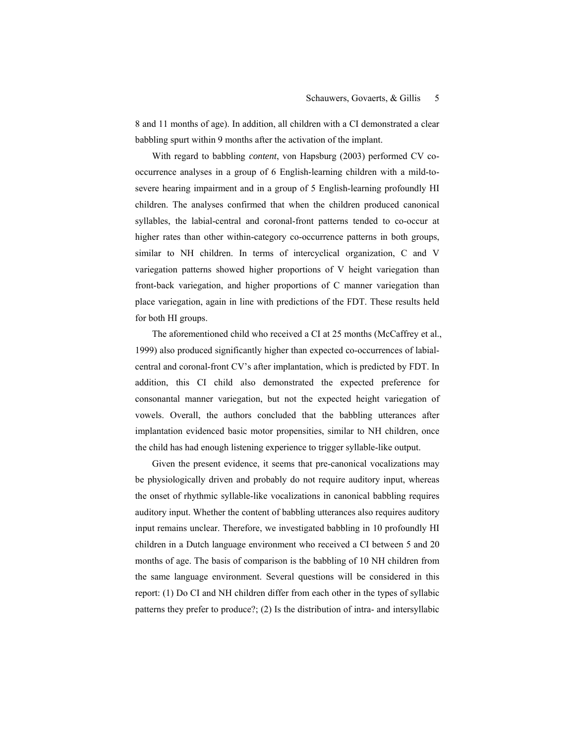8 and 11 months of age). In addition, all children with a CI demonstrated a clear babbling spurt within 9 months after the activation of the implant.

With regard to babbling *content*, von Hapsburg (2003) performed CV cooccurrence analyses in a group of 6 English-learning children with a mild-tosevere hearing impairment and in a group of 5 English-learning profoundly HI children. The analyses confirmed that when the children produced canonical syllables, the labial-central and coronal-front patterns tended to co-occur at higher rates than other within-category co-occurrence patterns in both groups, similar to NH children. In terms of intercyclical organization, C and V variegation patterns showed higher proportions of V height variegation than front-back variegation, and higher proportions of C manner variegation than place variegation, again in line with predictions of the FDT. These results held for both HI groups.

The aforementioned child who received a CI at 25 months (McCaffrey et al., 1999) also produced significantly higher than expected co-occurrences of labialcentral and coronal-front CV's after implantation, which is predicted by FDT. In addition, this CI child also demonstrated the expected preference for consonantal manner variegation, but not the expected height variegation of vowels. Overall, the authors concluded that the babbling utterances after implantation evidenced basic motor propensities, similar to NH children, once the child has had enough listening experience to trigger syllable-like output.

Given the present evidence, it seems that pre-canonical vocalizations may be physiologically driven and probably do not require auditory input, whereas the onset of rhythmic syllable-like vocalizations in canonical babbling requires auditory input. Whether the content of babbling utterances also requires auditory input remains unclear. Therefore, we investigated babbling in 10 profoundly HI children in a Dutch language environment who received a CI between 5 and 20 months of age. The basis of comparison is the babbling of 10 NH children from the same language environment. Several questions will be considered in this report: (1) Do CI and NH children differ from each other in the types of syllabic patterns they prefer to produce?; (2) Is the distribution of intra- and intersyllabic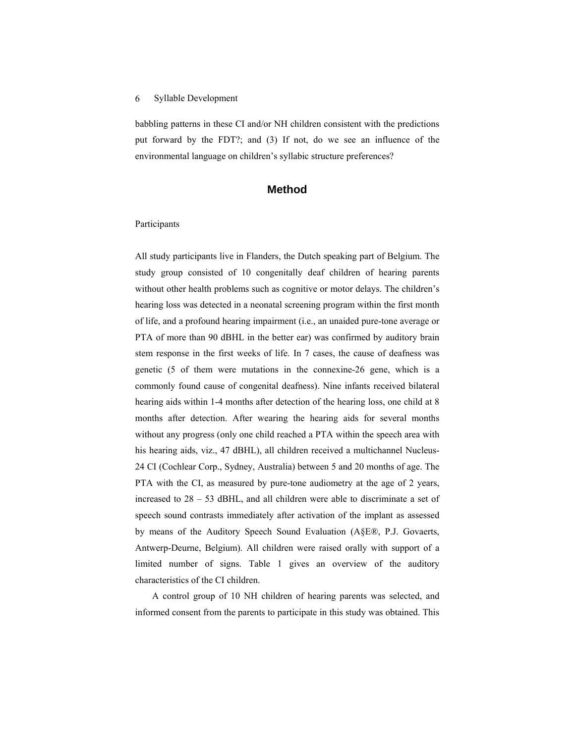babbling patterns in these CI and/or NH children consistent with the predictions put forward by the FDT?; and (3) If not, do we see an influence of the environmental language on children's syllabic structure preferences?

## **Method**

#### Participants

All study participants live in Flanders, the Dutch speaking part of Belgium. The study group consisted of 10 congenitally deaf children of hearing parents without other health problems such as cognitive or motor delays. The children's hearing loss was detected in a neonatal screening program within the first month of life, and a profound hearing impairment (i.e., an unaided pure-tone average or PTA of more than 90 dBHL in the better ear) was confirmed by auditory brain stem response in the first weeks of life. In 7 cases, the cause of deafness was genetic (5 of them were mutations in the connexine-26 gene, which is a commonly found cause of congenital deafness). Nine infants received bilateral hearing aids within 1-4 months after detection of the hearing loss, one child at 8 months after detection. After wearing the hearing aids for several months without any progress (only one child reached a PTA within the speech area with his hearing aids, viz., 47 dBHL), all children received a multichannel Nucleus-24 CI (Cochlear Corp., Sydney, Australia) between 5 and 20 months of age. The PTA with the CI, as measured by pure-tone audiometry at the age of 2 years, increased to 28 – 53 dBHL, and all children were able to discriminate a set of speech sound contrasts immediately after activation of the implant as assessed by means of the Auditory Speech Sound Evaluation (A§E®, P.J. Govaerts, Antwerp-Deurne, Belgium). All children were raised orally with support of a limited number of signs. Table 1 gives an overview of the auditory characteristics of the CI children.

A control group of 10 NH children of hearing parents was selected, and informed consent from the parents to participate in this study was obtained. This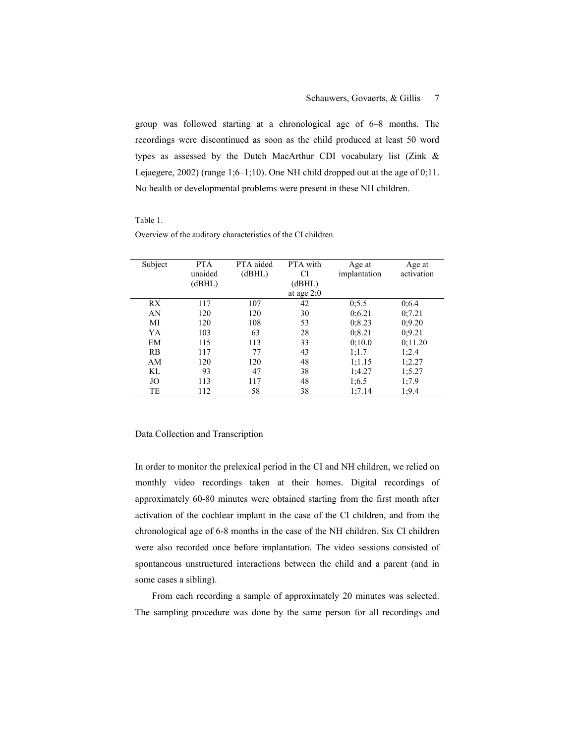group was followed starting at a chronological age of 6–8 months. The recordings were discontinued as soon as the child produced at least 50 word types as assessed by the Dutch MacArthur CDI vocabulary list (Zink & Lejaegere, 2002) (range 1;6–1;10). One NH child dropped out at the age of 0;11. No health or developmental problems were present in these NH children.

#### Table 1.

| Subject | <b>PTA</b> | PTA aided | PTA with     | Age at       | Age at     |
|---------|------------|-----------|--------------|--------------|------------|
|         | unaided    | (dBHL)    | CI           | implantation | activation |
|         | (dBHL)     |           | (dBHL)       |              |            |
|         |            |           | at age $2;0$ |              |            |
| RX.     | 117        | 107       | 42           | 0:5.5        | 0;6.4      |
| AN      | 120        | 120       | 30           | 0:6.21       | 0:7.21     |
| MI      | 120        | 108       | 53           | 0; 8.23      | 0;9.20     |
| YA      | 103        | 63        | 28           | 0:8.21       | 0:9.21     |
| EM      | 115        | 113       | 33           | 0:10.0       | 0;11.20    |
| RB      | 117        | 77        | 43           | 1;1.7        | 1;2.4      |
| AM      | 120        | 120       | 48           | 1:1.15       | 1;2.27     |
| KL      | 93         | 47        | 38           | 1;4.27       | 1:5.27     |
| JO      | 113        | 117       | 48           | 1:6.5        | 1,7.9      |
| TE      | 112        | 58        | 38           | 1:7.14       | 1;9.4      |

Overview of the auditory characteristics of the CI children.

#### Data Collection and Transcription

In order to monitor the prelexical period in the CI and NH children, we relied on monthly video recordings taken at their homes. Digital recordings of approximately 60-80 minutes were obtained starting from the first month after activation of the cochlear implant in the case of the CI children, and from the chronological age of 6-8 months in the case of the NH children. Six CI children were also recorded once before implantation. The video sessions consisted of spontaneous unstructured interactions between the child and a parent (and in some cases a sibling).

From each recording a sample of approximately 20 minutes was selected. The sampling procedure was done by the same person for all recordings and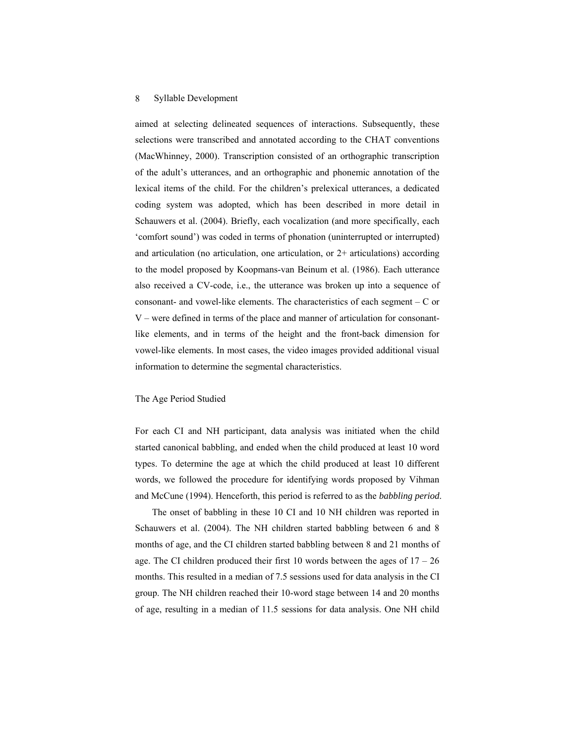aimed at selecting delineated sequences of interactions. Subsequently, these selections were transcribed and annotated according to the CHAT conventions (MacWhinney, 2000). Transcription consisted of an orthographic transcription of the adult's utterances, and an orthographic and phonemic annotation of the lexical items of the child. For the children's prelexical utterances, a dedicated coding system was adopted, which has been described in more detail in Schauwers et al. (2004). Briefly, each vocalization (and more specifically, each 'comfort sound') was coded in terms of phonation (uninterrupted or interrupted) and articulation (no articulation, one articulation, or  $2+$  articulations) according to the model proposed by Koopmans-van Beinum et al. (1986). Each utterance also received a CV-code, i.e., the utterance was broken up into a sequence of consonant- and vowel-like elements. The characteristics of each segment  $- C$  or V – were defined in terms of the place and manner of articulation for consonantlike elements, and in terms of the height and the front-back dimension for vowel-like elements. In most cases, the video images provided additional visual information to determine the segmental characteristics.

#### The Age Period Studied

For each CI and NH participant, data analysis was initiated when the child started canonical babbling, and ended when the child produced at least 10 word types. To determine the age at which the child produced at least 10 different words, we followed the procedure for identifying words proposed by Vihman and McCune (1994). Henceforth, this period is referred to as the *babbling period*.

The onset of babbling in these 10 CI and 10 NH children was reported in Schauwers et al. (2004). The NH children started babbling between 6 and 8 months of age, and the CI children started babbling between 8 and 21 months of age. The CI children produced their first 10 words between the ages of  $17 - 26$ months. This resulted in a median of 7.5 sessions used for data analysis in the CI group. The NH children reached their 10-word stage between 14 and 20 months of age, resulting in a median of 11.5 sessions for data analysis. One NH child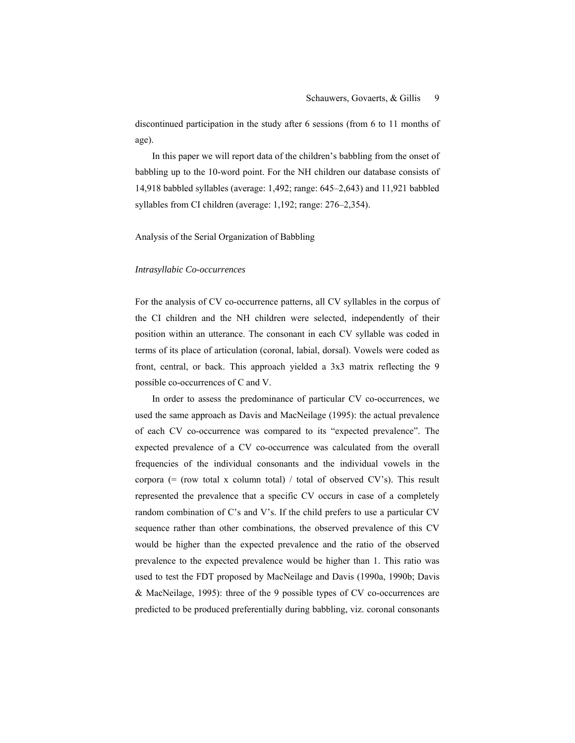discontinued participation in the study after 6 sessions (from 6 to 11 months of age).

In this paper we will report data of the children's babbling from the onset of babbling up to the 10-word point. For the NH children our database consists of 14,918 babbled syllables (average: 1,492; range: 645–2,643) and 11,921 babbled syllables from CI children (average: 1,192; range: 276–2,354).

Analysis of the Serial Organization of Babbling

#### *Intrasyllabic Co-occurrences*

For the analysis of CV co-occurrence patterns, all CV syllables in the corpus of the CI children and the NH children were selected, independently of their position within an utterance. The consonant in each CV syllable was coded in terms of its place of articulation (coronal, labial, dorsal). Vowels were coded as front, central, or back. This approach yielded a 3x3 matrix reflecting the 9 possible co-occurrences of C and V.

In order to assess the predominance of particular CV co-occurrences, we used the same approach as Davis and MacNeilage (1995): the actual prevalence of each CV co-occurrence was compared to its "expected prevalence". The expected prevalence of a CV co-occurrence was calculated from the overall frequencies of the individual consonants and the individual vowels in the corpora  $(=$  (row total x column total) / total of observed CV's). This result represented the prevalence that a specific CV occurs in case of a completely random combination of C's and V's. If the child prefers to use a particular CV sequence rather than other combinations, the observed prevalence of this CV would be higher than the expected prevalence and the ratio of the observed prevalence to the expected prevalence would be higher than 1. This ratio was used to test the FDT proposed by MacNeilage and Davis (1990a, 1990b; Davis & MacNeilage, 1995): three of the 9 possible types of CV co-occurrences are predicted to be produced preferentially during babbling, viz. coronal consonants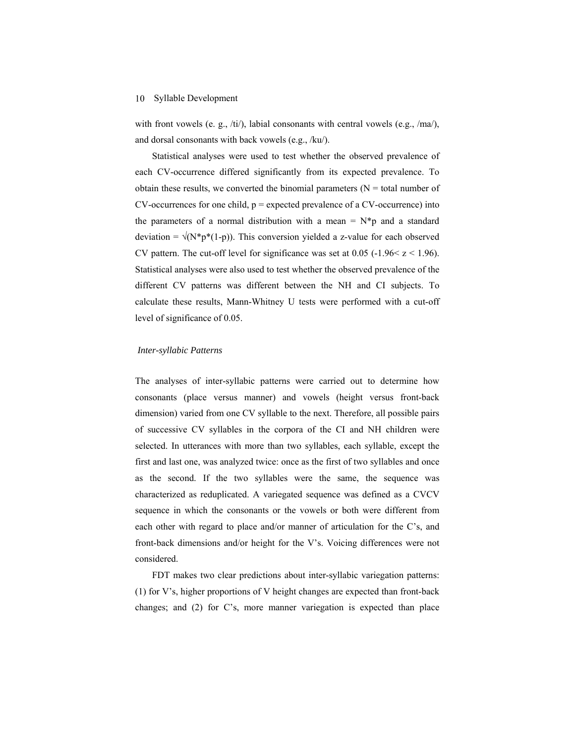with front vowels (e. g.,  $\langle \text{ti/} \rangle$ , labial consonants with central vowels (e.g.,  $\langle \text{ma/} \rangle$ , and dorsal consonants with back vowels (e.g., /ku/).

Statistical analyses were used to test whether the observed prevalence of each CV-occurrence differed significantly from its expected prevalence. To obtain these results, we converted the binomial parameters  $(N = total$  number of  $CV$ -occurrences for one child,  $p$  = expected prevalence of a  $CV$ -occurrence) into the parameters of a normal distribution with a mean  $= N^*p$  and a standard deviation =  $\sqrt{(N^*p^*(1-p))}$ . This conversion yielded a z-value for each observed CV pattern. The cut-off level for significance was set at 0.05 (-1.96 \ z \ 1.96). Statistical analyses were also used to test whether the observed prevalence of the different CV patterns was different between the NH and CI subjects. To calculate these results, Mann-Whitney U tests were performed with a cut-off level of significance of 0.05.

#### *Inter-syllabic Patterns*

The analyses of inter-syllabic patterns were carried out to determine how consonants (place versus manner) and vowels (height versus front-back dimension) varied from one CV syllable to the next. Therefore, all possible pairs of successive CV syllables in the corpora of the CI and NH children were selected. In utterances with more than two syllables, each syllable, except the first and last one, was analyzed twice: once as the first of two syllables and once as the second. If the two syllables were the same, the sequence was characterized as reduplicated. A variegated sequence was defined as a CVCV sequence in which the consonants or the vowels or both were different from each other with regard to place and/or manner of articulation for the C's, and front-back dimensions and/or height for the V's. Voicing differences were not considered.

FDT makes two clear predictions about inter-syllabic variegation patterns: (1) for V's, higher proportions of V height changes are expected than front-back changes; and (2) for C's, more manner variegation is expected than place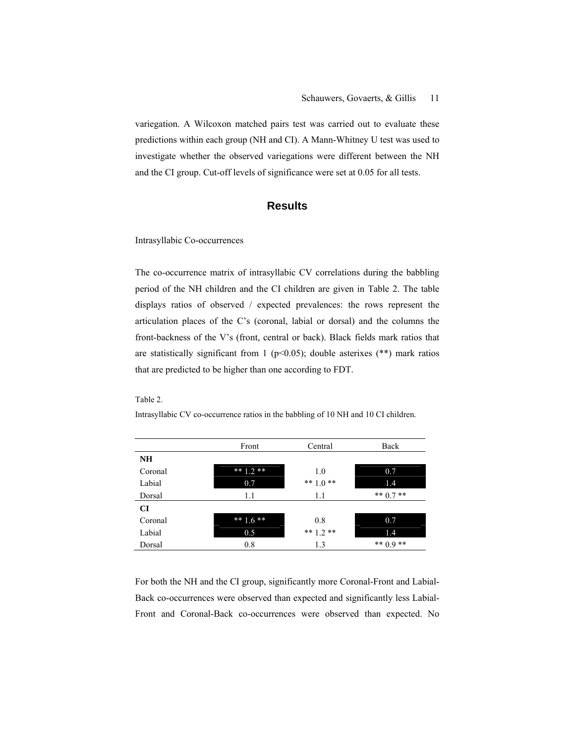variegation. A Wilcoxon matched pairs test was carried out to evaluate these predictions within each group (NH and CI). A Mann-Whitney U test was used to investigate whether the observed variegations were different between the NH and the CI group. Cut-off levels of significance were set at 0.05 for all tests.

# **Results**

Intrasyllabic Co-occurrences

The co-occurrence matrix of intrasyllabic CV correlations during the babbling period of the NH children and the CI children are given in Table 2. The table displays ratios of observed / expected prevalences: the rows represent the articulation places of the C's (coronal, labial or dorsal) and the columns the front-backness of the V's (front, central or back). Black fields mark ratios that are statistically significant from 1 ( $p$ <0.05); double asterixes (\*\*) mark ratios that are predicted to be higher than one according to FDT.

Table 2.

Intrasyllabic CV co-occurrence ratios in the babbling of 10 NH and 10 CI children.

|           | Front       | Central     | Back        |
|-----------|-------------|-------------|-------------|
| <b>NH</b> |             |             |             |
| Coronal   | ** $1.2$ ** | 1.0         | 0.7         |
| Labial    | 0.7         | ** $1.0$ ** | 1.4         |
| Dorsal    | 1.1         | 1.1         | ** $0.7$ ** |
| <b>CI</b> |             |             |             |
| Coronal   | ** $1.6$ ** | 0.8         | 0.7         |
| Labial    | 0.5         | ** $1.2$ ** | 1.4         |
| Dorsal    | 0.8         | 1.3         | ** $0.9$ ** |

For both the NH and the CI group, significantly more Coronal-Front and Labial-Back co-occurrences were observed than expected and significantly less Labial-Front and Coronal-Back co-occurrences were observed than expected. No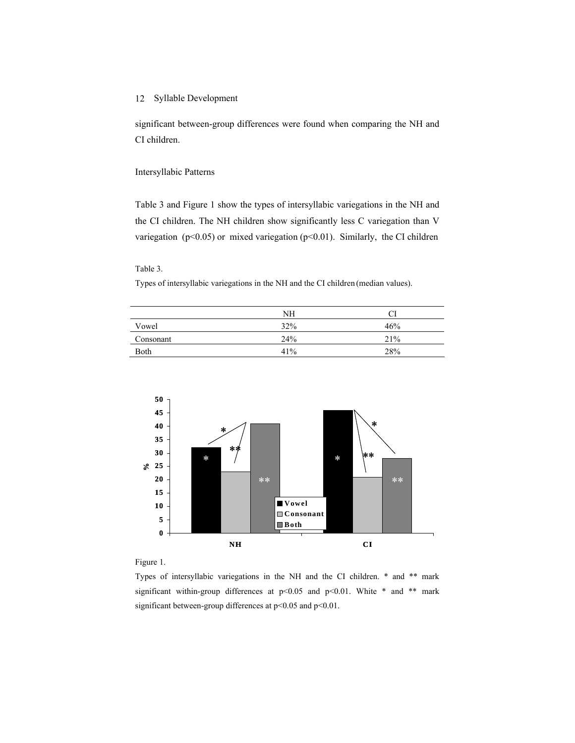significant between-group differences were found when comparing the NH and CI children.

#### Intersyllabic Patterns

Table 3 and Figure 1 show the types of intersyllabic variegations in the NH and the CI children. The NH children show significantly less C variegation than V variegation ( $p<0.05$ ) or mixed variegation ( $p<0.01$ ). Similarly, the CI children

#### Table 3.

Types of intersyllabic variegations in the NH and the CI children (median values).

|           | NΗ  |     |
|-----------|-----|-----|
| Vowel     | 32% | 46% |
| Consonant | 24% | 21% |
| Both      | 41% | 28% |



Figure 1.

Types of intersyllabic variegations in the NH and the CI children. \* and \*\* mark significant within-group differences at  $p<0.05$  and  $p<0.01$ . White \* and \*\* mark significant between-group differences at p<0.05 and p<0.01.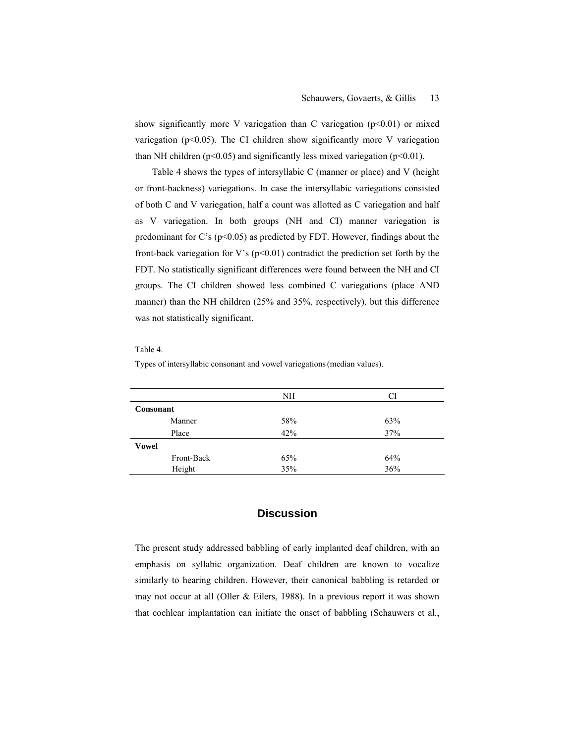show significantly more V variegation than C variegation  $(p<0.01)$  or mixed variegation ( $p$ <0.05). The CI children show significantly more V variegation than NH children ( $p<0.05$ ) and significantly less mixed variegation ( $p<0.01$ ).

Table 4 shows the types of intersyllabic C (manner or place) and V (height or front-backness) variegations. In case the intersyllabic variegations consisted of both C and V variegation, half a count was allotted as C variegation and half as V variegation. In both groups (NH and CI) manner variegation is predominant for C's ( $p$ <0.05) as predicted by FDT. However, findings about the front-back variegation for V's  $(p<0.01)$  contradict the prediction set forth by the FDT. No statistically significant differences were found between the NH and CI groups. The CI children showed less combined C variegations (place AND manner) than the NH children (25% and 35%, respectively), but this difference was not statistically significant.

#### Table 4.

|                  |            | NH  | CI  |  |
|------------------|------------|-----|-----|--|
| <b>Consonant</b> |            |     |     |  |
|                  | Manner     | 58% | 63% |  |
|                  | Place      | 42% | 37% |  |
| <b>Vowel</b>     |            |     |     |  |
|                  | Front-Back | 65% | 64% |  |
|                  | Height     | 35% | 36% |  |

Types of intersyllabic consonant and vowel variegations(median values).

## **Discussion**

The present study addressed babbling of early implanted deaf children, with an emphasis on syllabic organization. Deaf children are known to vocalize similarly to hearing children. However, their canonical babbling is retarded or may not occur at all (Oller & Eilers, 1988). In a previous report it was shown that cochlear implantation can initiate the onset of babbling (Schauwers et al.,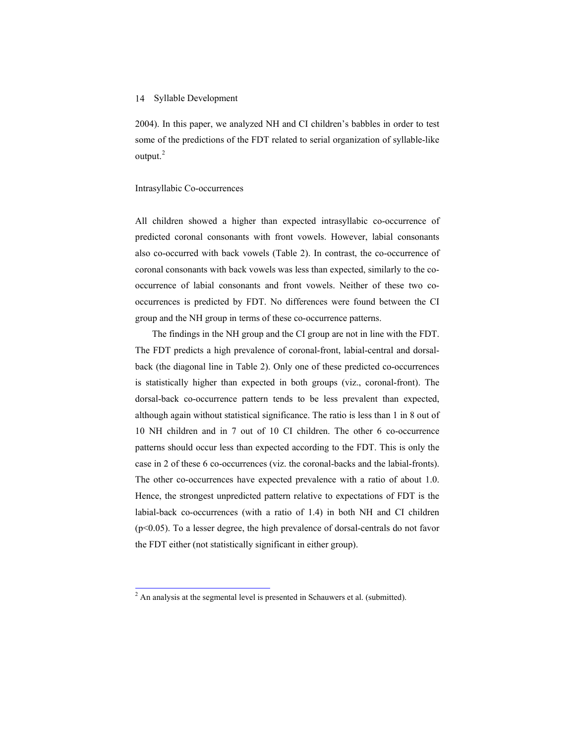2004). In this paper, we analyzed NH and CI children's babbles in order to test some of the predictions of the FDT related to serial organization of syllable-like output.<sup>[2](#page-17-0)</sup>

#### Intrasyllabic Co-occurrences

All children showed a higher than expected intrasyllabic co-occurrence of predicted coronal consonants with front vowels. However, labial consonants also co-occurred with back vowels (Table 2). In contrast, the co-occurrence of coronal consonants with back vowels was less than expected, similarly to the cooccurrence of labial consonants and front vowels. Neither of these two cooccurrences is predicted by FDT. No differences were found between the CI group and the NH group in terms of these co-occurrence patterns.

The findings in the NH group and the CI group are not in line with the FDT. The FDT predicts a high prevalence of coronal-front, labial-central and dorsalback (the diagonal line in Table 2). Only one of these predicted co-occurrences is statistically higher than expected in both groups (viz., coronal-front). The dorsal-back co-occurrence pattern tends to be less prevalent than expected, although again without statistical significance. The ratio is less than 1 in 8 out of 10 NH children and in 7 out of 10 CI children. The other 6 co-occurrence patterns should occur less than expected according to the FDT. This is only the case in 2 of these 6 co-occurrences (viz. the coronal-backs and the labial-fronts). The other co-occurrences have expected prevalence with a ratio of about 1.0. Hence, the strongest unpredicted pattern relative to expectations of FDT is the labial-back co-occurrences (with a ratio of 1.4) in both NH and CI children (p<0.05). To a lesser degree, the high prevalence of dorsal-centrals do not favor the FDT either (not statistically significant in either group).

<span id="page-17-0"></span><sup>&</sup>lt;sup>2</sup> An analysis at the segmental level is presented in Schauwers et al. (submitted).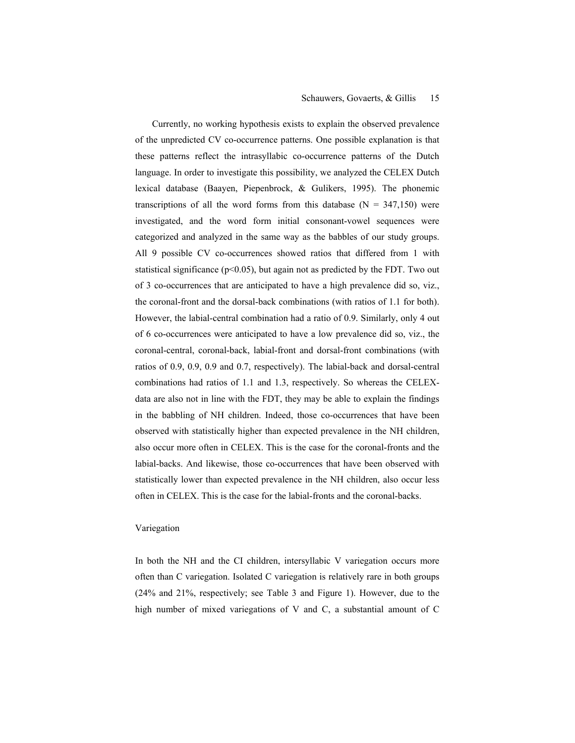#### Schauwers, Govaerts, & Gillis 15

Currently, no working hypothesis exists to explain the observed prevalence of the unpredicted CV co-occurrence patterns. One possible explanation is that these patterns reflect the intrasyllabic co-occurrence patterns of the Dutch language. In order to investigate this possibility, we analyzed the CELEX Dutch lexical database (Baayen, Piepenbrock, & Gulikers, 1995). The phonemic transcriptions of all the word forms from this database ( $N = 347,150$ ) were investigated, and the word form initial consonant-vowel sequences were categorized and analyzed in the same way as the babbles of our study groups. All 9 possible CV co-occurrences showed ratios that differed from 1 with statistical significance ( $p<0.05$ ), but again not as predicted by the FDT. Two out of 3 co-occurrences that are anticipated to have a high prevalence did so, viz., the coronal-front and the dorsal-back combinations (with ratios of 1.1 for both). However, the labial-central combination had a ratio of 0.9. Similarly, only 4 out of 6 co-occurrences were anticipated to have a low prevalence did so, viz., the coronal-central, coronal-back, labial-front and dorsal-front combinations (with ratios of 0.9, 0.9, 0.9 and 0.7, respectively). The labial-back and dorsal-central combinations had ratios of 1.1 and 1.3, respectively. So whereas the CELEXdata are also not in line with the FDT, they may be able to explain the findings in the babbling of NH children. Indeed, those co-occurrences that have been observed with statistically higher than expected prevalence in the NH children, also occur more often in CELEX. This is the case for the coronal-fronts and the labial-backs. And likewise, those co-occurrences that have been observed with statistically lower than expected prevalence in the NH children, also occur less often in CELEX. This is the case for the labial-fronts and the coronal-backs.

#### Variegation

In both the NH and the CI children, intersyllabic V variegation occurs more often than C variegation. Isolated C variegation is relatively rare in both groups (24% and 21%, respectively; see Table 3 and Figure 1). However, due to the high number of mixed variegations of V and C, a substantial amount of C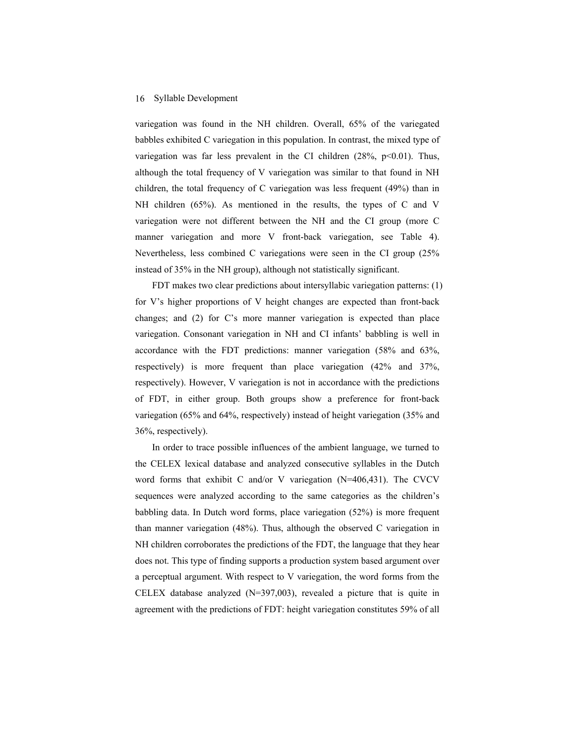variegation was found in the NH children. Overall, 65% of the variegated babbles exhibited C variegation in this population. In contrast, the mixed type of variegation was far less prevalent in the CI children  $(28\%, p<0.01)$ . Thus, although the total frequency of V variegation was similar to that found in NH children, the total frequency of C variegation was less frequent (49%) than in NH children (65%). As mentioned in the results, the types of C and V variegation were not different between the NH and the CI group (more C manner variegation and more V front-back variegation, see Table 4). Nevertheless, less combined C variegations were seen in the CI group (25% instead of 35% in the NH group), although not statistically significant.

FDT makes two clear predictions about intersyllabic variegation patterns: (1) for V's higher proportions of V height changes are expected than front-back changes; and (2) for C's more manner variegation is expected than place variegation. Consonant variegation in NH and CI infants' babbling is well in accordance with the FDT predictions: manner variegation (58% and 63%, respectively) is more frequent than place variegation (42% and 37%, respectively). However, V variegation is not in accordance with the predictions of FDT, in either group. Both groups show a preference for front-back variegation (65% and 64%, respectively) instead of height variegation (35% and 36%, respectively).

In order to trace possible influences of the ambient language, we turned to the CELEX lexical database and analyzed consecutive syllables in the Dutch word forms that exhibit C and/or V variegation (N=406,431). The CVCV sequences were analyzed according to the same categories as the children's babbling data. In Dutch word forms, place variegation (52%) is more frequent than manner variegation (48%). Thus, although the observed C variegation in NH children corroborates the predictions of the FDT, the language that they hear does not. This type of finding supports a production system based argument over a perceptual argument. With respect to V variegation, the word forms from the CELEX database analyzed (N=397,003), revealed a picture that is quite in agreement with the predictions of FDT: height variegation constitutes 59% of all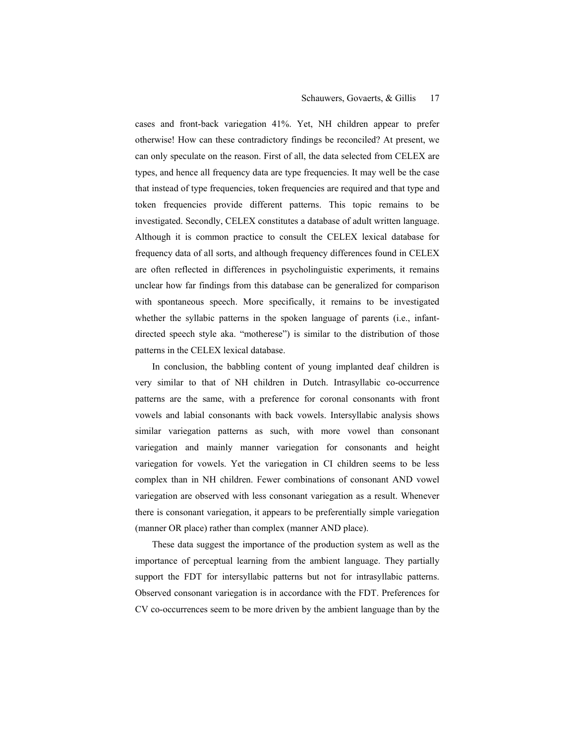cases and front-back variegation 41%. Yet, NH children appear to prefer otherwise! How can these contradictory findings be reconciled? At present, we can only speculate on the reason. First of all, the data selected from CELEX are types, and hence all frequency data are type frequencies. It may well be the case that instead of type frequencies, token frequencies are required and that type and token frequencies provide different patterns. This topic remains to be investigated. Secondly, CELEX constitutes a database of adult written language. Although it is common practice to consult the CELEX lexical database for frequency data of all sorts, and although frequency differences found in CELEX are often reflected in differences in psycholinguistic experiments, it remains unclear how far findings from this database can be generalized for comparison with spontaneous speech. More specifically, it remains to be investigated whether the syllabic patterns in the spoken language of parents (i.e., infantdirected speech style aka. "motherese") is similar to the distribution of those patterns in the CELEX lexical database.

In conclusion, the babbling content of young implanted deaf children is very similar to that of NH children in Dutch. Intrasyllabic co-occurrence patterns are the same, with a preference for coronal consonants with front vowels and labial consonants with back vowels. Intersyllabic analysis shows similar variegation patterns as such, with more vowel than consonant variegation and mainly manner variegation for consonants and height variegation for vowels. Yet the variegation in CI children seems to be less complex than in NH children. Fewer combinations of consonant AND vowel variegation are observed with less consonant variegation as a result. Whenever there is consonant variegation, it appears to be preferentially simple variegation (manner OR place) rather than complex (manner AND place).

These data suggest the importance of the production system as well as the importance of perceptual learning from the ambient language. They partially support the FDT for intersyllabic patterns but not for intrasyllabic patterns. Observed consonant variegation is in accordance with the FDT. Preferences for CV co-occurrences seem to be more driven by the ambient language than by the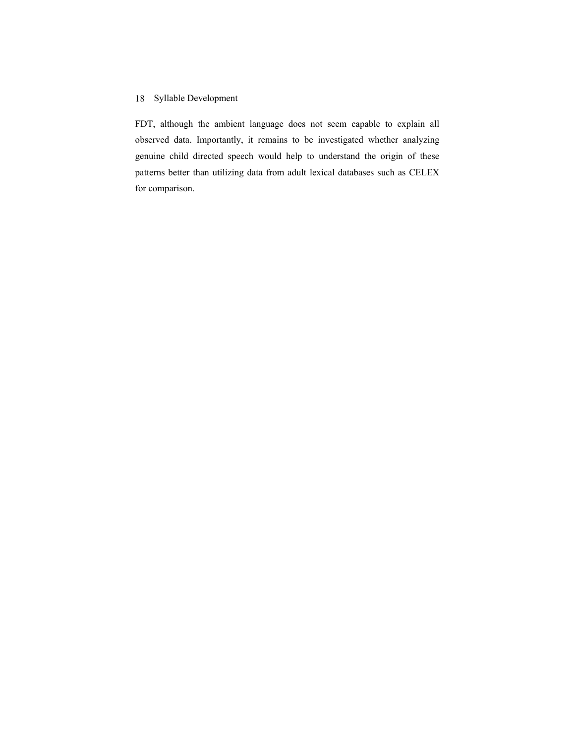FDT, although the ambient language does not seem capable to explain all observed data. Importantly, it remains to be investigated whether analyzing genuine child directed speech would help to understand the origin of these patterns better than utilizing data from adult lexical databases such as CELEX for comparison.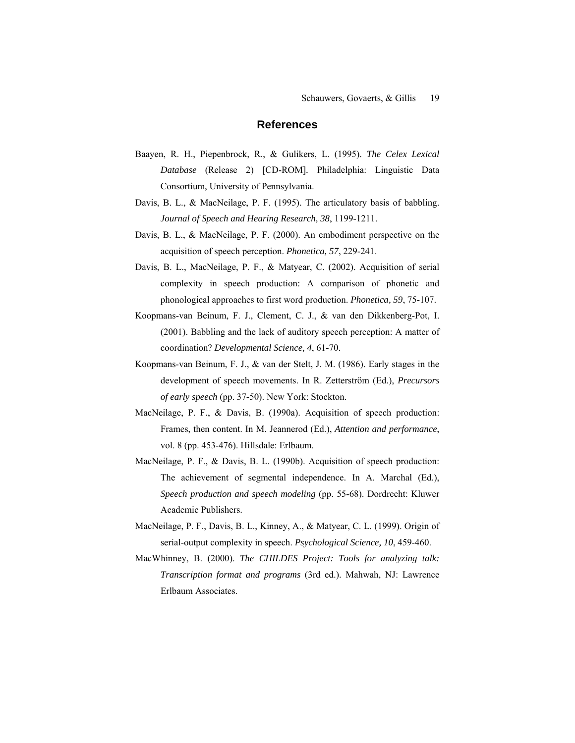# **References**

- Baayen, R. H., Piepenbrock, R., & Gulikers, L. (1995). *The Celex Lexical Database* (Release 2) [CD-ROM]*.* Philadelphia: Linguistic Data Consortium, University of Pennsylvania.
- Davis, B. L., & MacNeilage, P. F. (1995). The articulatory basis of babbling. *Journal of Speech and Hearing Research, 38*, 1199-1211.
- Davis, B. L., & MacNeilage, P. F. (2000). An embodiment perspective on the acquisition of speech perception. *Phonetica, 57*, 229-241.
- Davis, B. L., MacNeilage, P. F., & Matyear, C. (2002). Acquisition of serial complexity in speech production: A comparison of phonetic and phonological approaches to first word production. *Phonetica, 59*, 75-107.
- Koopmans-van Beinum, F. J., Clement, C. J., & van den Dikkenberg-Pot, I. (2001). Babbling and the lack of auditory speech perception: A matter of coordination? *Developmental Science, 4*, 61-70.
- Koopmans-van Beinum, F. J., & van der Stelt, J. M. (1986). Early stages in the development of speech movements. In R. Zetterström (Ed.), *Precursors of early speech* (pp. 37-50). New York: Stockton.
- MacNeilage, P. F., & Davis, B. (1990a). Acquisition of speech production: Frames, then content. In M. Jeannerod (Ed.), *Attention and performance*, vol. 8 (pp. 453-476). Hillsdale: Erlbaum.
- MacNeilage, P. F., & Davis, B. L. (1990b). Acquisition of speech production: The achievement of segmental independence. In A. Marchal (Ed.), *Speech production and speech modeling* (pp. 55-68). Dordrecht: Kluwer Academic Publishers.
- MacNeilage, P. F., Davis, B. L., Kinney, A., & Matyear, C. L. (1999). Origin of serial-output complexity in speech. *Psychological Science, 10*, 459-460.
- MacWhinney, B. (2000). *The CHILDES Project: Tools for analyzing talk: Transcription format and programs* (3rd ed.). Mahwah, NJ: Lawrence Erlbaum Associates.